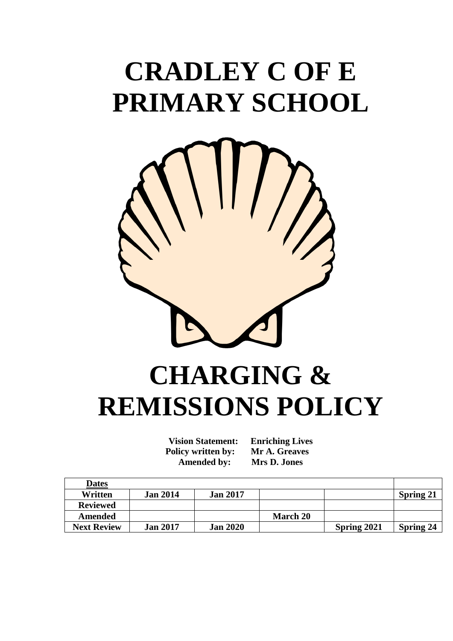# **CRADLEY C OF E PRIMARY SCHOOL**



# **CHARGING & REMISSIONS POLICY**

**Vision Statement: Enriching Lives Policy written by: Mr A. Greaves Amended by: Mrs D. Jones**

| <b>Dates</b>       |                 |                 |                 |             |                  |
|--------------------|-----------------|-----------------|-----------------|-------------|------------------|
| Written            | <b>Jan 2014</b> | <b>Jan 2017</b> |                 |             | <b>Spring 21</b> |
| <b>Reviewed</b>    |                 |                 |                 |             |                  |
| <b>Amended</b>     |                 |                 | <b>March 20</b> |             |                  |
| <b>Next Review</b> | <b>Jan 2017</b> | <b>Jan 2020</b> |                 | Spring 2021 | <b>Spring 24</b> |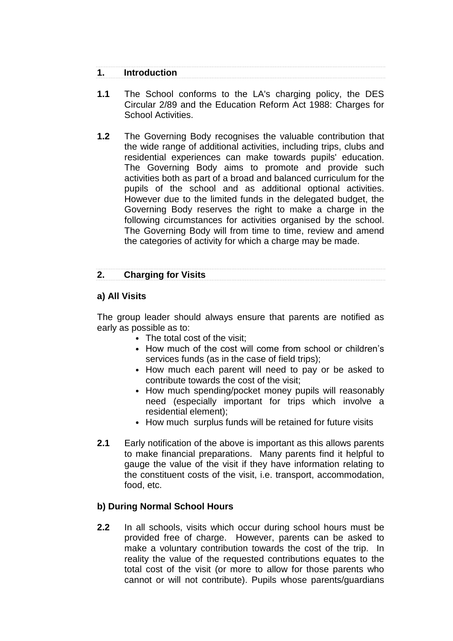# **1. Introduction**

- **1.1** The School conforms to the LA's charging policy, the DES Circular 2/89 and the Education Reform Act 1988: Charges for School Activities.
- **1.2** The Governing Body recognises the valuable contribution that the wide range of additional activities, including trips, clubs and residential experiences can make towards pupils' education. The Governing Body aims to promote and provide such activities both as part of a broad and balanced curriculum for the pupils of the school and as additional optional activities. However due to the limited funds in the delegated budget, the Governing Body reserves the right to make a charge in the following circumstances for activities organised by the school. The Governing Body will from time to time, review and amend the categories of activity for which a charge may be made.

# **2. Charging for Visits**

### **a) All Visits**

The group leader should always ensure that parents are notified as early as possible as to:

- The total cost of the visit:
- How much of the cost will come from school or children's services funds (as in the case of field trips);
- How much each parent will need to pay or be asked to contribute towards the cost of the visit;
- How much spending/pocket money pupils will reasonably need (especially important for trips which involve a residential element);
- How much surplus funds will be retained for future visits
- **2.1** Early notification of the above is important as this allows parents to make financial preparations. Many parents find it helpful to gauge the value of the visit if they have information relating to the constituent costs of the visit, i.e. transport, accommodation, food, etc.

# **b) During Normal School Hours**

**2.2** In all schools, visits which occur during school hours must be provided free of charge. However, parents can be asked to make a voluntary contribution towards the cost of the trip. In reality the value of the requested contributions equates to the total cost of the visit (or more to allow for those parents who cannot or will not contribute). Pupils whose parents/guardians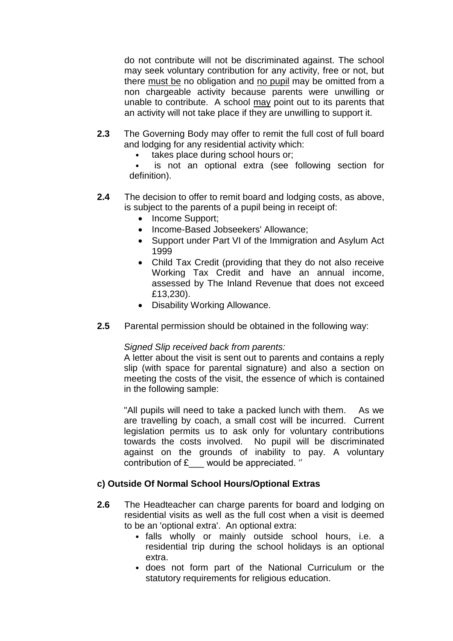do not contribute will not be discriminated against. The school may seek voluntary contribution for any activity, free or not, but there must be no obligation and no pupil may be omitted from a non chargeable activity because parents were unwilling or unable to contribute. A school may point out to its parents that an activity will not take place if they are unwilling to support it.

- **2.3** The Governing Body may offer to remit the full cost of full board and lodging for any residential activity which:
	- takes place during school hours or;

is not an optional extra (see following section for definition).

- **2.4** The decision to offer to remit board and lodging costs, as above, is subject to the parents of a pupil being in receipt of:
	- Income Support:
	- Income-Based Jobseekers' Allowance;
	- Support under Part VI of the Immigration and Asylum Act 1999
	- Child Tax Credit (providing that they do not also receive Working Tax Credit and have an annual income, assessed by The Inland Revenue that does not exceed £13,230).
	- Disability Working Allowance.
- **2.5** Parental permission should be obtained in the following way:

#### *Signed Slip received back from parents:*

A letter about the visit is sent out to parents and contains a reply slip (with space for parental signature) and also a section on meeting the costs of the visit, the essence of which is contained in the following sample:

"All pupils will need to take a packed lunch with them. As we are travelling by coach, a small cost will be incurred. Current legislation permits us to ask only for voluntary contributions towards the costs involved. No pupil will be discriminated against on the grounds of inability to pay. A voluntary contribution of £\_\_\_ would be appreciated. ''

#### **c) Outside Of Normal School Hours/Optional Extras**

- **2.6** The Headteacher can charge parents for board and lodging on residential visits as well as the full cost when a visit is deemed to be an 'optional extra'. An optional extra:
	- falls wholly or mainly outside school hours, i.e. a residential trip during the school holidays is an optional extra.
	- does not form part of the National Curriculum or the statutory requirements for religious education.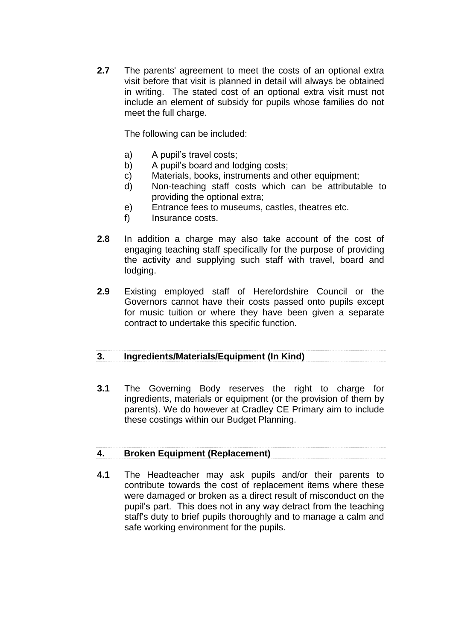**2.7** The parents' agreement to meet the costs of an optional extra visit before that visit is planned in detail will always be obtained in writing. The stated cost of an optional extra visit must not include an element of subsidy for pupils whose families do not meet the full charge.

The following can be included:

- a) A pupil's travel costs;
- b) A pupil's board and lodging costs;
- c) Materials, books, instruments and other equipment;
- d) Non-teaching staff costs which can be attributable to providing the optional extra;
- e) Entrance fees to museums, castles, theatres etc.
- f) Insurance costs.
- **2.8** In addition a charge may also take account of the cost of engaging teaching staff specifically for the purpose of providing the activity and supplying such staff with travel, board and lodging.
- **2.9** Existing employed staff of Herefordshire Council or the Governors cannot have their costs passed onto pupils except for music tuition or where they have been given a separate contract to undertake this specific function.

# **3. Ingredients/Materials/Equipment (In Kind)**

**3.1** The Governing Body reserves the right to charge for ingredients, materials or equipment (or the provision of them by parents). We do however at Cradley CE Primary aim to include these costings within our Budget Planning.

# **4. Broken Equipment (Replacement)**

**4.1** The Headteacher may ask pupils and/or their parents to contribute towards the cost of replacement items where these were damaged or broken as a direct result of misconduct on the pupil's part. This does not in any way detract from the teaching staff's duty to brief pupils thoroughly and to manage a calm and safe working environment for the pupils.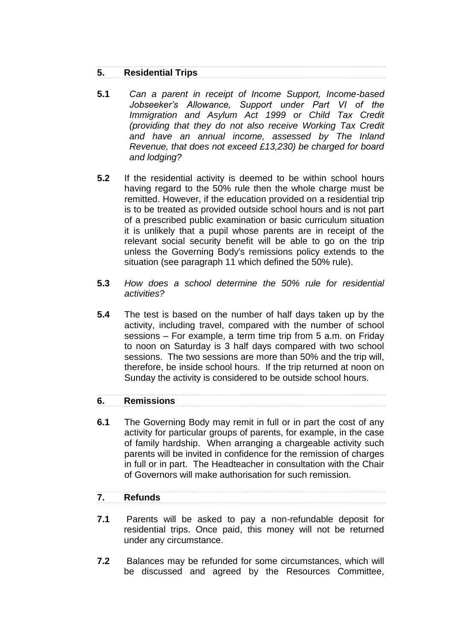### **5. Residential Trips**

- **5.1** *Can a parent in receipt of Income Support, Income-based Jobseeker's Allowance, Support under Part VI of the Immigration and Asylum Act 1999 or Child Tax Credit (providing that they do not also receive Working Tax Credit and have an annual income, assessed by The Inland Revenue, that does not exceed £13,230) be charged for board and lodging?*
- **5.2** If the residential activity is deemed to be within school hours having regard to the 50% rule then the whole charge must be remitted. However, if the education provided on a residential trip is to be treated as provided outside school hours and is not part of a prescribed public examination or basic curriculum situation it is unlikely that a pupil whose parents are in receipt of the relevant social security benefit will be able to go on the trip unless the Governing Body's remissions policy extends to the situation (see paragraph 11 which defined the 50% rule).
- **5.3** *How does a school determine the 50% rule for residential activities?*
- **5.4** The test is based on the number of half days taken up by the activity, including travel, compared with the number of school sessions – For example, a term time trip from 5 a.m. on Friday to noon on Saturday is 3 half days compared with two school sessions. The two sessions are more than 50% and the trip will, therefore, be inside school hours. If the trip returned at noon on Sunday the activity is considered to be outside school hours.

#### **6. Remissions**

**6.1** The Governing Body may remit in full or in part the cost of any activity for particular groups of parents, for example, in the case of family hardship. When arranging a chargeable activity such parents will be invited in confidence for the remission of charges in full or in part. The Headteacher in consultation with the Chair of Governors will make authorisation for such remission.

#### **7. Refunds**

- **7.1** Parents will be asked to pay a non-refundable deposit for residential trips. Once paid, this money will not be returned under any circumstance.
- **7.2** Balances may be refunded for some circumstances, which will be discussed and agreed by the Resources Committee,